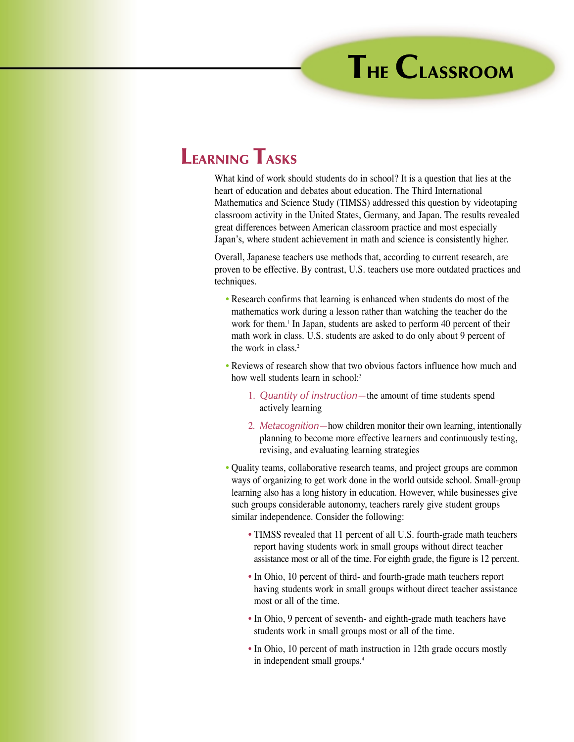## **LEARNING TASKS**

What kind of work should students do in school? It is a question that lies at the heart of education and debates about education. The Third International Mathematics and Science Study (TIMSS) addressed this question by videotaping classroom activity in the United States, Germany, and Japan. The results revealed great differences between American classroom practice and most especially Japan's, where student achievement in math and science is consistently higher.

Overall, Japanese teachers use methods that, according to current research, are proven to be effective. By contrast, U.S. teachers use more outdated practices and techniques.

- Research confirms that learning is enhanced when students do most of the mathematics work during a lesson rather than watching the teacher do the work for them.<sup>1</sup> In Japan, students are asked to perform 40 percent of their math work in class. U.S. students are asked to do only about 9 percent of the work in class.2
- Reviews of research show that two obvious factors influence how much and how well students learn in school:<sup>3</sup>
	- 1. *Quantity of instruction—*the amount of time students spend actively learning
	- 2. *Metacognition—*how children monitor their own learning, intentionally planning to become more effective learners and continuously testing, revising, and evaluating learning strategies
- Quality teams, collaborative research teams, and project groups are common ways of organizing to get work done in the world outside school. Small-group learning also has a long history in education. However, while businesses give such groups considerable autonomy, teachers rarely give student groups similar independence. Consider the following:
	- TIMSS revealed that 11 percent of all U.S. fourth-grade math teachers report having students work in small groups without direct teacher assistance most or all of the time. For eighth grade, the figure is 12 percent.
	- In Ohio, 10 percent of third- and fourth-grade math teachers report having students work in small groups without direct teacher assistance most or all of the time.
	- In Ohio, 9 percent of seventh- and eighth-grade math teachers have students work in small groups most or all of the time.
	- In Ohio, 10 percent of math instruction in 12th grade occurs mostly in independent small groups.4